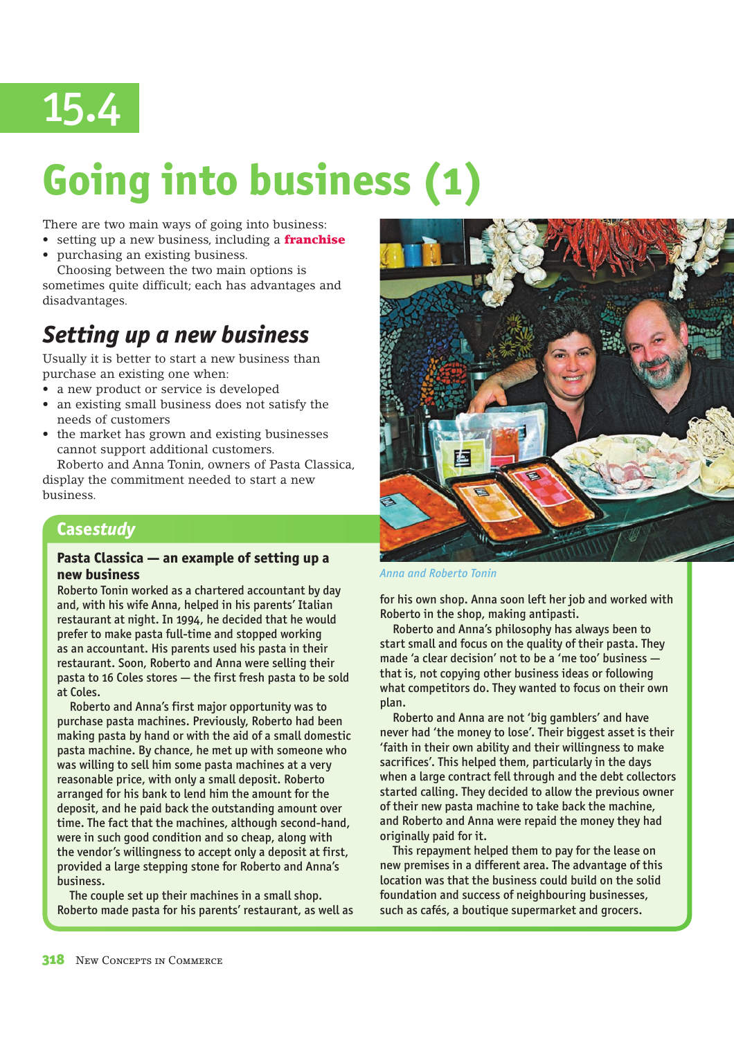

# **Going into business (1)**

There are two main ways of going into business:

- setting up a new business, including a **franchise**
- purchasing an existing business.

Choosing between the two main options is sometimes quite difficult; each has advantages and disadvantages.

### *Setting up a new business*

Usually it is better to start a new business than purchase an existing one when:

- a new product or service is developed
- $\bullet$  an existing small business does not satisfy the needs of customers
- the market has grown and existing businesses cannot support additional customers.

Roberto and Anna Tonin, owners of Pasta Classica, display the commitment needed to start a new business.

### **Case** *study*

### **Pasta Classica — an example of setting up a new business**

Roberto Tonin worked as a chartered accountant by day and, with his wife Anna, helped in his parents' Italian restaurant at night. In 1994, he decided that he would prefer to make pasta full-time and stopped working as an accountant. His parents used his pasta in their restaurant. Soon, Roberto and Anna were selling their pasta to 16 Coles stores — the first fresh pasta to be sold at Coles.

 Roberto and Anna's first major opportunity was to purchase pasta machines. Previously, Roberto had been making pasta by hand or with the aid of a small domestic pasta machine. By chance, he met up with someone who was willing to sell him some pasta machines at a very reasonable price, with only a small deposit. Roberto arranged for his bank to lend him the amount for the deposit, and he paid back the outstanding amount over time. The fact that the machines, although second-hand, were in such good condition and so cheap, along with the vendor's willingness to accept only a deposit at first, provided a large stepping stone for Roberto and Anna's business.

 The couple set up their machines in a small shop. Roberto made pasta for his parents' restaurant, as well as



*Anna and Roberto Tonin*

for his own shop. Anna soon left her job and worked with Roberto in the shop, making antipasti.

 Roberto and Anna's philosophy has always been to start small and focus on the quality of their pasta. They made 'a clear decision' not to be a 'me too' business that is, not copying other business ideas or following what competitors do. They wanted to focus on their own plan.

 Roberto and Anna are not 'big gamblers' and have never had 'the money to lose'. Their biggest asset is their 'faith in their own ability and their willingness to make sacrifices'. This helped them, particularly in the days when a large contract fell through and the debt collectors started calling. They decided to allow the previous owner of their new pasta machine to take back the machine, and Roberto and Anna were repaid the money they had originally paid for it.

 This repayment helped them to pay for the lease on new premises in a different area. The advantage of this location was that the business could build on the solid foundation and success of neighbouring businesses, such as cafés, a boutique supermarket and grocers.